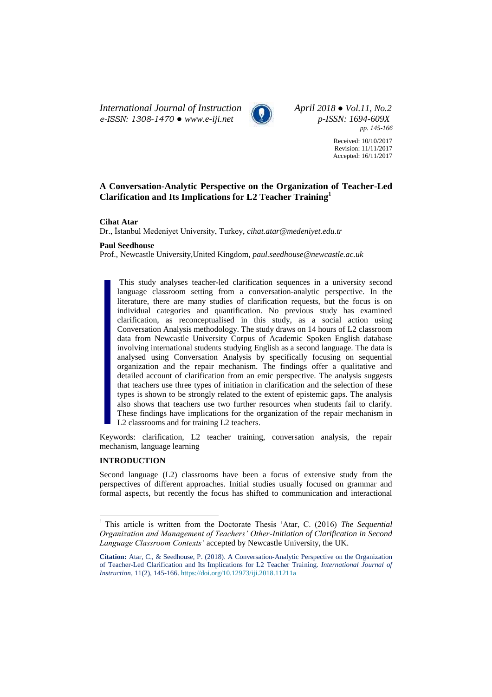*International Journal of Instruction April 2018 ● Vol.11, No.2 e-ISSN: 1308-1470 ● [www.e-iji.net](http://www.e-iji.net/) p-ISSN: 1694-609X*



*pp. 145-166*

Received: 10/10/2017 Revision: 11/11/2017 Accepted: 16/11/2017

# **A Conversation-Analytic Perspective on the Organization of Teacher-Led Clarification and Its Implications for L2 Teacher Training<sup>1</sup>**

## **Cihat Atar**

Dr., İstanbul Medeniyet University, Turkey, *cihat.atar@medeniyet.edu.tr*

### **Paul Seedhouse**

Prof., Newcastle University,United Kingdom, *paul.seedhouse@newcastle.ac.uk*

This study analyses teacher-led clarification sequences in a university second language classroom setting from a conversation-analytic perspective. In the literature, there are many studies of clarification requests, but the focus is on individual categories and quantification. No previous study has examined clarification, as reconceptualised in this study, as a social action using Conversation Analysis methodology. The study draws on 14 hours of L2 classroom data from Newcastle University Corpus of Academic Spoken English database involving international students studying English as a second language. The data is analysed using Conversation Analysis by specifically focusing on sequential organization and the repair mechanism. The findings offer a qualitative and detailed account of clarification from an emic perspective. The analysis suggests that teachers use three types of initiation in clarification and the selection of these types is shown to be strongly related to the extent of epistemic gaps. The analysis also shows that teachers use two further resources when students fail to clarify. These findings have implications for the organization of the repair mechanism in L<sub>2</sub> classrooms and for training L<sub>2</sub> teachers.

Keywords: clarification, L2 teacher training, conversation analysis, the repair mechanism, language learning

# **INTRODUCTION**

 $\overline{a}$ 

Second language (L2) classrooms have been a focus of extensive study from the perspectives of different approaches. Initial studies usually focused on grammar and formal aspects, but recently the focus has shifted to communication and interactional

<sup>1</sup> This article is written from the Doctorate Thesis 'Atar, C. (2016) *The Sequential Organization and Management of Teachers' Other-Initiation of Clarification in Second Language Classroom Contexts'* accepted by Newcastle University, the UK.

**Citation:** Atar, C., & Seedhouse, P. (2018). A Conversation-Analytic Perspective on the Organization of Teacher-Led Clarification and Its Implications for L2 Teacher Training. *International Journal of Instruction*, 11(2), 145-166. <https://doi.org/10.12973/iji.2018.11211a>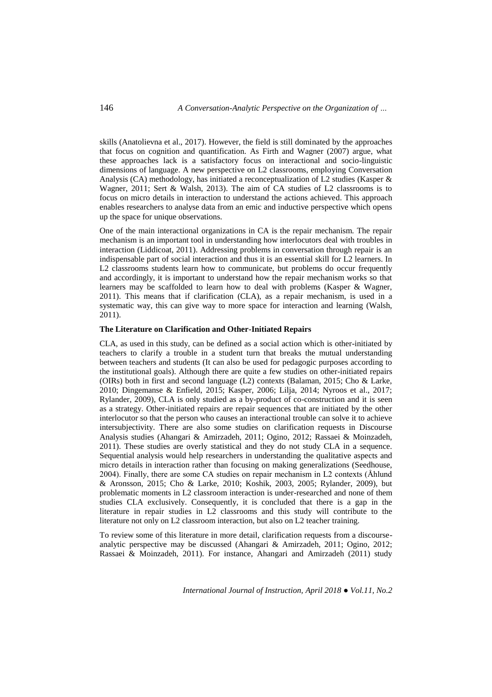skills (Anatolievna et al., 2017). However, the field is still dominated by the approaches that focus on cognition and quantification. As Firth and Wagner (2007) argue, what these approaches lack is a satisfactory focus on interactional and socio-linguistic dimensions of language. A new perspective on L2 classrooms, employing Conversation Analysis (CA) methodology, has initiated a reconceptualization of L2 studies (Kasper  $\&$ Wagner, 2011; Sert & Walsh, 2013). The aim of CA studies of L2 classrooms is to focus on micro details in interaction to understand the actions achieved. This approach enables researchers to analyse data from an emic and inductive perspective which opens up the space for unique observations.

One of the main interactional organizations in CA is the repair mechanism. The repair mechanism is an important tool in understanding how interlocutors deal with troubles in interaction (Liddicoat, 2011). Addressing problems in conversation through repair is an indispensable part of social interaction and thus it is an essential skill for L2 learners. In L2 classrooms students learn how to communicate, but problems do occur frequently and accordingly, it is important to understand how the repair mechanism works so that learners may be scaffolded to learn how to deal with problems (Kasper & Wagner, 2011). This means that if clarification (CLA), as a repair mechanism, is used in a systematic way, this can give way to more space for interaction and learning (Walsh, 2011).

### **The Literature on Clarification and Other-Initiated Repairs**

CLA, as used in this study, can be defined as a social action which is other-initiated by teachers to clarify a trouble in a student turn that breaks the mutual understanding between teachers and students (It can also be used for pedagogic purposes according to the institutional goals). Although there are quite a few studies on other-initiated repairs (OIRs) both in first and second language (L2) contexts (Balaman, 2015; Cho & Larke, 2010; Dingemanse & Enfield, 2015; Kasper, 2006; Lilja, 2014; Nyroos et al., 2017; Rylander, 2009), CLA is only studied as a by-product of co-construction and it is seen as a strategy. Other-initiated repairs are repair sequences that are initiated by the other interlocutor so that the person who causes an interactional trouble can solve it to achieve intersubjectivity. There are also some studies on clarification requests in Discourse Analysis studies (Ahangari & Amirzadeh, 2011; Ogino, 2012; Rassaei & Moinzadeh, 2011). These studies are overly statistical and they do not study CLA in a sequence. Sequential analysis would help researchers in understanding the qualitative aspects and micro details in interaction rather than focusing on making generalizations (Seedhouse, 2004). Finally, there are some CA studies on repair mechanism in L2 contexts (Åhlund & Aronsson, 2015; Cho & Larke, 2010; Koshik, 2003, 2005; Rylander, 2009), but problematic moments in L2 classroom interaction is under-researched and none of them studies CLA exclusively. Consequently, it is concluded that there is a gap in the literature in repair studies in L2 classrooms and this study will contribute to the literature not only on L2 classroom interaction, but also on L2 teacher training.

To review some of this literature in more detail, clarification requests from a discourseanalytic perspective may be discussed (Ahangari & Amirzadeh, 2011; Ogino, 2012; Rassaei & Moinzadeh, 2011). For instance, Ahangari and Amirzadeh (2011) study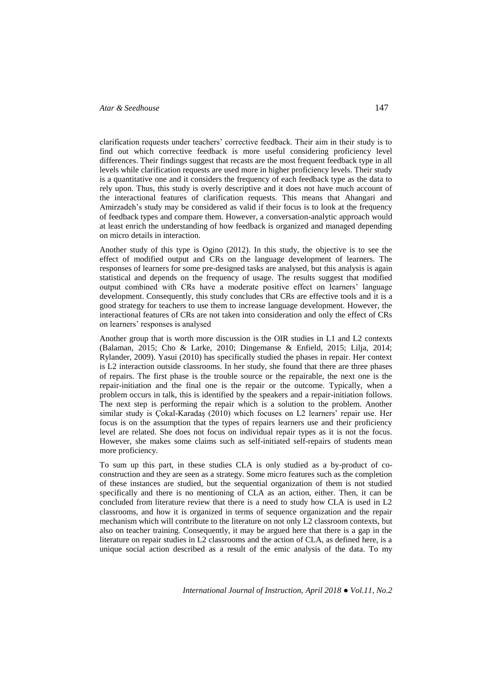clarification requests under teachers' corrective feedback. Their aim in their study is to find out which corrective feedback is more useful considering proficiency level differences. Their findings suggest that recasts are the most frequent feedback type in all levels while clarification requests are used more in higher proficiency levels. Their study is a quantitative one and it considers the frequency of each feedback type as the data to rely upon. Thus, this study is overly descriptive and it does not have much account of the interactional features of clarification requests. This means that Ahangari and Amirzadeh's study may be considered as valid if their focus is to look at the frequency of feedback types and compare them. However, a conversation-analytic approach would at least enrich the understanding of how feedback is organized and managed depending on micro details in interaction.

Another study of this type is Ogino (2012). In this study, the objective is to see the effect of modified output and CRs on the language development of learners. The responses of learners for some pre-designed tasks are analysed, but this analysis is again statistical and depends on the frequency of usage. The results suggest that modified output combined with CRs have a moderate positive effect on learners' language development. Consequently, this study concludes that CRs are effective tools and it is a good strategy for teachers to use them to increase language development. However, the interactional features of CRs are not taken into consideration and only the effect of CRs on learners' responses is analysed

Another group that is worth more discussion is the OIR studies in L1 and L2 contexts (Balaman, 2015; Cho & Larke, 2010; Dingemanse & Enfield, 2015; Lilja, 2014; Rylander, 2009). Yasui (2010) has specifically studied the phases in repair. Her context is L2 interaction outside classrooms. In her study, she found that there are three phases of repairs. The first phase is the trouble source or the repairable, the next one is the repair-initiation and the final one is the repair or the outcome. Typically, when a problem occurs in talk, this is identified by the speakers and a repair-initiation follows. The next step is performing the repair which is a solution to the problem. Another similar study is Çokal-Karadaş (2010) which focuses on L2 learners' repair use. Her focus is on the assumption that the types of repairs learners use and their proficiency level are related. She does not focus on individual repair types as it is not the focus. However, she makes some claims such as self-initiated self-repairs of students mean more proficiency.

To sum up this part, in these studies CLA is only studied as a by-product of coconstruction and they are seen as a strategy. Some micro features such as the completion of these instances are studied, but the sequential organization of them is not studied specifically and there is no mentioning of CLA as an action, either. Then, it can be concluded from literature review that there is a need to study how CLA is used in L2 classrooms, and how it is organized in terms of sequence organization and the repair mechanism which will contribute to the literature on not only L2 classroom contexts, but also on teacher training. Consequently, it may be argued here that there is a gap in the literature on repair studies in L2 classrooms and the action of CLA, as defined here, is a unique social action described as a result of the emic analysis of the data. To my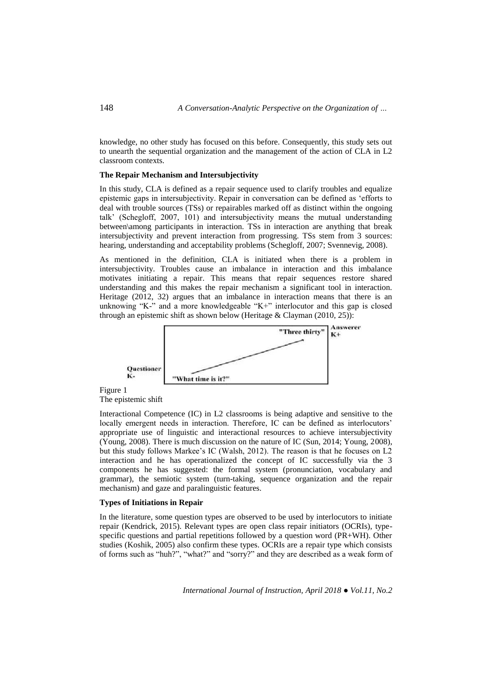knowledge, no other study has focused on this before. Consequently, this study sets out to unearth the sequential organization and the management of the action of CLA in L2 classroom contexts.

#### **The Repair Mechanism and Intersubjectivity**

In this study, CLA is defined as a repair sequence used to clarify troubles and equalize epistemic gaps in intersubjectivity. Repair in conversation can be defined as 'efforts to deal with trouble sources (TSs) or repairables marked off as distinct within the ongoing talk' (Schegloff, 2007, 101) and intersubjectivity means the mutual understanding between\among participants in interaction. TSs in interaction are anything that break intersubjectivity and prevent interaction from progressing. TSs stem from 3 sources: hearing, understanding and acceptability problems (Schegloff, 2007; Svennevig, 2008).

As mentioned in the definition, CLA is initiated when there is a problem in intersubjectivity. Troubles cause an imbalance in interaction and this imbalance motivates initiating a repair. This means that repair sequences restore shared understanding and this makes the repair mechanism a significant tool in interaction. Heritage (2012, 32) argues that an imbalance in interaction means that there is an unknowing "K-" and a more knowledgeable "K+" interlocutor and this gap is closed through an epistemic shift as shown below (Heritage & Clayman (2010, 25)):



Figure 1 The epistemic shift

Interactional Competence (IC) in L2 classrooms is being adaptive and sensitive to the locally emergent needs in interaction. Therefore, IC can be defined as interlocutors' appropriate use of linguistic and interactional resources to achieve intersubjectivity (Young, 2008). There is much discussion on the nature of IC (Sun, 2014; Young, 2008), but this study follows Markee's IC (Walsh, 2012). The reason is that he focuses on L2 interaction and he has operationalized the concept of IC successfully via the 3 components he has suggested: the formal system (pronunciation, vocabulary and grammar), the semiotic system (turn-taking, sequence organization and the repair mechanism) and gaze and paralinguistic features.

## **Types of Initiations in Repair**

In the literature, some question types are observed to be used by interlocutors to initiate repair (Kendrick, 2015). Relevant types are open class repair initiators (OCRIs), typespecific questions and partial repetitions followed by a question word (PR+WH). Other studies (Koshik, 2005) also confirm these types. OCRIs are a repair type which consists of forms such as "huh?", "what?" and "sorry?" and they are described as a weak form of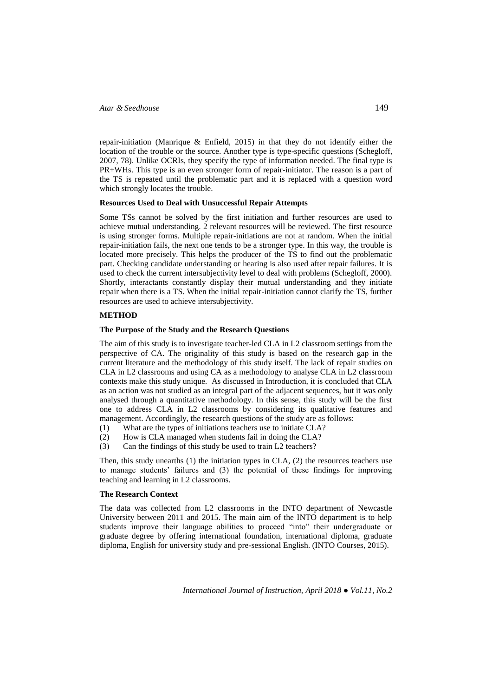repair-initiation (Manrique  $\&$  Enfield, 2015) in that they do not identify either the location of the trouble or the source. Another type is type-specific questions (Schegloff, 2007, 78). Unlike OCRIs, they specify the type of information needed. The final type is PR+WHs. This type is an even stronger form of repair-initiator. The reason is a part of the TS is repeated until the problematic part and it is replaced with a question word which strongly locates the trouble.

#### **Resources Used to Deal with Unsuccessful Repair Attempts**

Some TSs cannot be solved by the first initiation and further resources are used to achieve mutual understanding. 2 relevant resources will be reviewed. The first resource is using stronger forms. Multiple repair-initiations are not at random. When the initial repair-initiation fails, the next one tends to be a stronger type. In this way, the trouble is located more precisely. This helps the producer of the TS to find out the problematic part. Checking candidate understanding or hearing is also used after repair failures. It is used to check the current intersubjectivity level to deal with problems (Schegloff, 2000). Shortly, interactants constantly display their mutual understanding and they initiate repair when there is a TS. When the initial repair-initiation cannot clarify the TS, further resources are used to achieve intersubjectivity.

## **METHOD**

# **The Purpose of the Study and the Research Questions**

The aim of this study is to investigate teacher-led CLA in L2 classroom settings from the perspective of CA. The originality of this study is based on the research gap in the current literature and the methodology of this study itself. The lack of repair studies on CLA in L2 classrooms and using CA as a methodology to analyse CLA in L2 classroom contexts make this study unique. As discussed in Introduction, it is concluded that CLA as an action was not studied as an integral part of the adjacent sequences, but it was only analysed through a quantitative methodology. In this sense, this study will be the first one to address CLA in L2 classrooms by considering its qualitative features and management. Accordingly, the research questions of the study are as follows:

- (1) What are the types of initiations teachers use to initiate CLA?
- (2) How is CLA managed when students fail in doing the CLA?
- (3) Can the findings of this study be used to train L2 teachers?

Then, this study unearths (1) the initiation types in CLA, (2) the resources teachers use to manage students' failures and (3) the potential of these findings for improving teaching and learning in L2 classrooms.

## **The Research Context**

The data was collected from L2 classrooms in the INTO department of Newcastle University between 2011 and 2015. The main aim of the INTO department is to help students improve their language abilities to proceed "into" their undergraduate or graduate degree by offering international foundation, international diploma, graduate diploma, English for university study and pre-sessional English. (INTO Courses, 2015).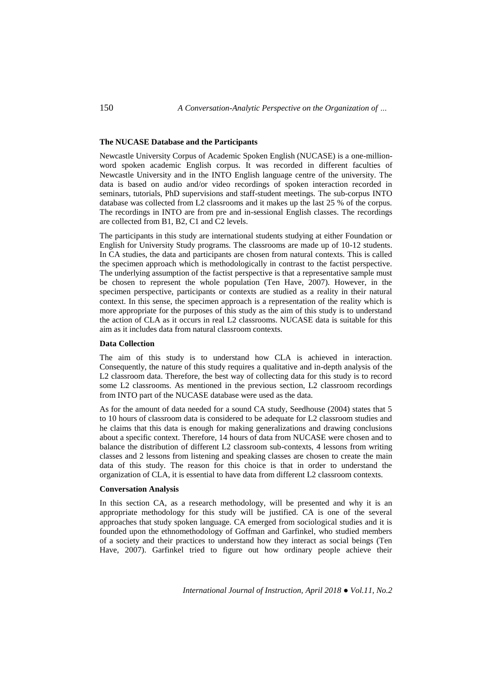## **The NUCASE Database and the Participants**

Newcastle University Corpus of Academic Spoken English (NUCASE) is a one-millionword spoken academic English corpus. It was recorded in different faculties of Newcastle University and in the INTO English language centre of the university. The data is based on audio and/or video recordings of spoken interaction recorded in seminars, tutorials, PhD supervisions and staff-student meetings. The sub-corpus INTO database was collected from L2 classrooms and it makes up the last 25 % of the corpus. The recordings in INTO are from pre and in-sessional English classes. The recordings are collected from B1, B2, C1 and C2 levels.

The participants in this study are international students studying at either Foundation or English for University Study programs. The classrooms are made up of 10-12 students. In CA studies, the data and participants are chosen from natural contexts. This is called the specimen approach which is methodologically in contrast to the factist perspective. The underlying assumption of the factist perspective is that a representative sample must be chosen to represent the whole population (Ten Have, 2007). However, in the specimen perspective, participants or contexts are studied as a reality in their natural context. In this sense, the specimen approach is a representation of the reality which is more appropriate for the purposes of this study as the aim of this study is to understand the action of CLA as it occurs in real L2 classrooms. NUCASE data is suitable for this aim as it includes data from natural classroom contexts.

#### **Data Collection**

The aim of this study is to understand how CLA is achieved in interaction. Consequently, the nature of this study requires a qualitative and in-depth analysis of the L2 classroom data. Therefore, the best way of collecting data for this study is to record some L2 classrooms. As mentioned in the previous section, L2 classroom recordings from INTO part of the NUCASE database were used as the data.

As for the amount of data needed for a sound CA study, Seedhouse (2004) states that 5 to 10 hours of classroom data is considered to be adequate for L2 classroom studies and he claims that this data is enough for making generalizations and drawing conclusions about a specific context. Therefore, 14 hours of data from NUCASE were chosen and to balance the distribution of different L2 classroom sub-contexts, 4 lessons from writing classes and 2 lessons from listening and speaking classes are chosen to create the main data of this study. The reason for this choice is that in order to understand the organization of CLA, it is essential to have data from different L2 classroom contexts.

### **Conversation Analysis**

In this section CA, as a research methodology, will be presented and why it is an appropriate methodology for this study will be justified. CA is one of the several approaches that study spoken language. CA emerged from sociological studies and it is founded upon the ethnomethodology of Goffman and Garfinkel, who studied members of a society and their practices to understand how they interact as social beings (Ten Have, 2007). Garfinkel tried to figure out how ordinary people achieve their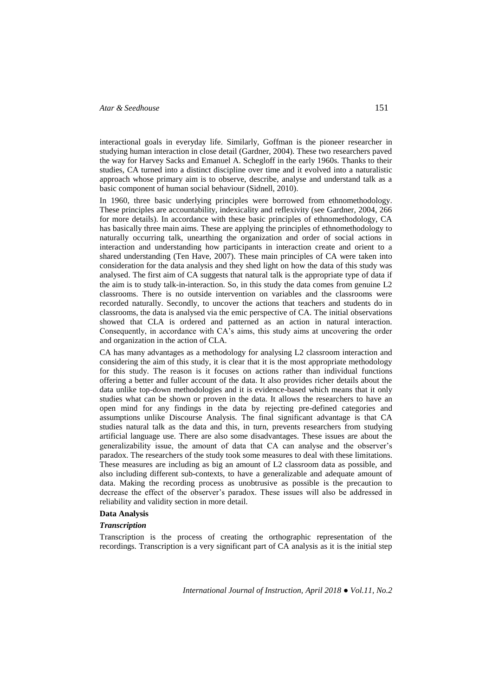interactional goals in everyday life. Similarly, Goffman is the pioneer researcher in studying human interaction in close detail (Gardner, 2004). These two researchers paved the way for Harvey Sacks and Emanuel A. Schegloff in the early 1960s. Thanks to their studies, CA turned into a distinct discipline over time and it evolved into a naturalistic approach whose primary aim is to observe, describe, analyse and understand talk as a basic component of human social behaviour (Sidnell, 2010).

In 1960, three basic underlying principles were borrowed from ethnomethodology. These principles are accountability, indexicality and reflexivity (see Gardner, 2004, 266 for more details). In accordance with these basic principles of ethnomethodology, CA has basically three main aims. These are applying the principles of ethnomethodology to naturally occurring talk, unearthing the organization and order of social actions in interaction and understanding how participants in interaction create and orient to a shared understanding (Ten Have, 2007). These main principles of CA were taken into consideration for the data analysis and they shed light on how the data of this study was analysed. The first aim of CA suggests that natural talk is the appropriate type of data if the aim is to study talk-in-interaction. So, in this study the data comes from genuine L2 classrooms. There is no outside intervention on variables and the classrooms were recorded naturally. Secondly, to uncover the actions that teachers and students do in classrooms, the data is analysed via the emic perspective of CA. The initial observations showed that CLA is ordered and patterned as an action in natural interaction. Consequently, in accordance with CA's aims, this study aims at uncovering the order and organization in the action of CLA.

CA has many advantages as a methodology for analysing L2 classroom interaction and considering the aim of this study, it is clear that it is the most appropriate methodology for this study. The reason is it focuses on actions rather than individual functions offering a better and fuller account of the data. It also provides richer details about the data unlike top-down methodologies and it is evidence-based which means that it only studies what can be shown or proven in the data. It allows the researchers to have an open mind for any findings in the data by rejecting pre-defined categories and assumptions unlike Discourse Analysis. The final significant advantage is that CA studies natural talk as the data and this, in turn, prevents researchers from studying artificial language use. There are also some disadvantages. These issues are about the generalizability issue, the amount of data that CA can analyse and the observer's paradox. The researchers of the study took some measures to deal with these limitations. These measures are including as big an amount of L2 classroom data as possible, and also including different sub-contexts, to have a generalizable and adequate amount of data. Making the recording process as unobtrusive as possible is the precaution to decrease the effect of the observer's paradox. These issues will also be addressed in reliability and validity section in more detail.

### **Data Analysis**

### *Transcription*

Transcription is the process of creating the orthographic representation of the recordings. Transcription is a very significant part of CA analysis as it is the initial step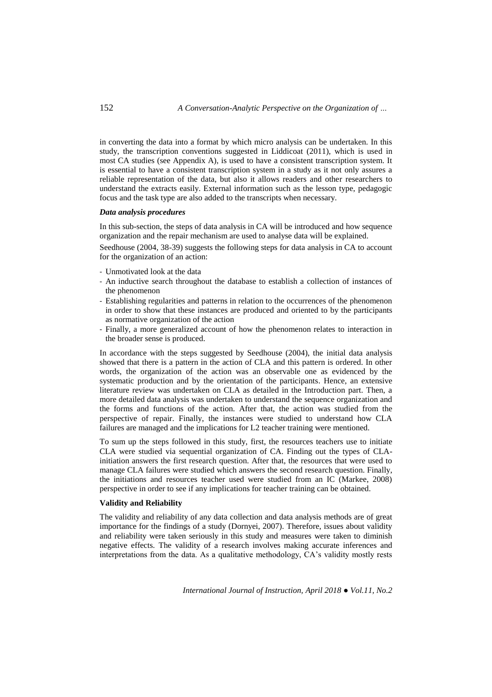in converting the data into a format by which micro analysis can be undertaken. In this study, the transcription conventions suggested in Liddicoat (2011), which is used in most CA studies (see Appendix A), is used to have a consistent transcription system. It is essential to have a consistent transcription system in a study as it not only assures a reliable representation of the data, but also it allows readers and other researchers to understand the extracts easily. External information such as the lesson type, pedagogic focus and the task type are also added to the transcripts when necessary.

### *Data analysis procedures*

In this sub-section, the steps of data analysis in CA will be introduced and how sequence organization and the repair mechanism are used to analyse data will be explained.

Seedhouse (2004, 38-39) suggests the following steps for data analysis in CA to account for the organization of an action:

- Unmotivated look at the data
- An inductive search throughout the database to establish a collection of instances of the phenomenon
- Establishing regularities and patterns in relation to the occurrences of the phenomenon in order to show that these instances are produced and oriented to by the participants as normative organization of the action
- Finally, a more generalized account of how the phenomenon relates to interaction in the broader sense is produced.

In accordance with the steps suggested by Seedhouse (2004), the initial data analysis showed that there is a pattern in the action of CLA and this pattern is ordered. In other words, the organization of the action was an observable one as evidenced by the systematic production and by the orientation of the participants. Hence, an extensive literature review was undertaken on CLA as detailed in the Introduction part. Then, a more detailed data analysis was undertaken to understand the sequence organization and the forms and functions of the action. After that, the action was studied from the perspective of repair. Finally, the instances were studied to understand how CLA failures are managed and the implications for L2 teacher training were mentioned.

To sum up the steps followed in this study, first, the resources teachers use to initiate CLA were studied via sequential organization of CA. Finding out the types of CLAinitiation answers the first research question. After that, the resources that were used to manage CLA failures were studied which answers the second research question. Finally, the initiations and resources teacher used were studied from an IC (Markee, 2008) perspective in order to see if any implications for teacher training can be obtained.

### **Validity and Reliability**

The validity and reliability of any data collection and data analysis methods are of great importance for the findings of a study (Dornyei, 2007). Therefore, issues about validity and reliability were taken seriously in this study and measures were taken to diminish negative effects. The validity of a research involves making accurate inferences and interpretations from the data. As a qualitative methodology, CA's validity mostly rests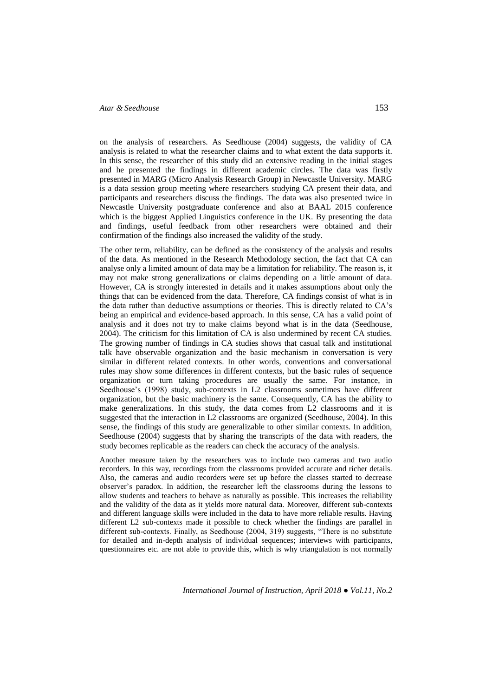on the analysis of researchers. As Seedhouse (2004) suggests, the validity of CA analysis is related to what the researcher claims and to what extent the data supports it. In this sense, the researcher of this study did an extensive reading in the initial stages and he presented the findings in different academic circles. The data was firstly presented in MARG (Micro Analysis Research Group) in Newcastle University. MARG is a data session group meeting where researchers studying CA present their data, and participants and researchers discuss the findings. The data was also presented twice in Newcastle University postgraduate conference and also at BAAL 2015 conference which is the biggest Applied Linguistics conference in the UK. By presenting the data and findings, useful feedback from other researchers were obtained and their confirmation of the findings also increased the validity of the study.

The other term, reliability, can be defined as the consistency of the analysis and results of the data. As mentioned in the Research Methodology section, the fact that CA can analyse only a limited amount of data may be a limitation for reliability. The reason is, it may not make strong generalizations or claims depending on a little amount of data. However, CA is strongly interested in details and it makes assumptions about only the things that can be evidenced from the data. Therefore, CA findings consist of what is in the data rather than deductive assumptions or theories. This is directly related to CA's being an empirical and evidence-based approach. In this sense, CA has a valid point of analysis and it does not try to make claims beyond what is in the data (Seedhouse, 2004). The criticism for this limitation of CA is also undermined by recent CA studies. The growing number of findings in CA studies shows that casual talk and institutional talk have observable organization and the basic mechanism in conversation is very similar in different related contexts. In other words, conventions and conversational rules may show some differences in different contexts, but the basic rules of sequence organization or turn taking procedures are usually the same. For instance, in Seedhouse's (1998) study, sub-contexts in L2 classrooms sometimes have different organization, but the basic machinery is the same. Consequently, CA has the ability to make generalizations. In this study, the data comes from L2 classrooms and it is suggested that the interaction in L2 classrooms are organized (Seedhouse, 2004). In this sense, the findings of this study are generalizable to other similar contexts. In addition, Seedhouse (2004) suggests that by sharing the transcripts of the data with readers, the study becomes replicable as the readers can check the accuracy of the analysis.

Another measure taken by the researchers was to include two cameras and two audio recorders. In this way, recordings from the classrooms provided accurate and richer details. Also, the cameras and audio recorders were set up before the classes started to decrease observer's paradox. In addition, the researcher left the classrooms during the lessons to allow students and teachers to behave as naturally as possible. This increases the reliability and the validity of the data as it yields more natural data. Moreover, different sub-contexts and different language skills were included in the data to have more reliable results. Having different L2 sub-contexts made it possible to check whether the findings are parallel in different sub-contexts. Finally, as Seedhouse (2004, 319) suggests, "There is no substitute for detailed and in-depth analysis of individual sequences; interviews with participants, questionnaires etc. are not able to provide this, which is why triangulation is not normally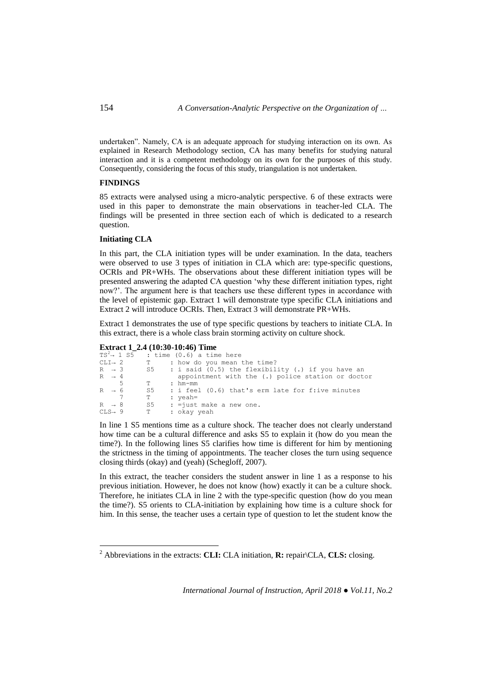154 *A Conversation-Analytic Perspective on the Organization of …*

undertaken". Namely, CA is an adequate approach for studying interaction on its own. As explained in Research Methodology section, CA has many benefits for studying natural interaction and it is a competent methodology on its own for the purposes of this study. Consequently, considering the focus of this study, triangulation is not undertaken.

## **FINDINGS**

85 extracts were analysed using a micro-analytic perspective. 6 of these extracts were used in this paper to demonstrate the main observations in teacher-led CLA. The findings will be presented in three section each of which is dedicated to a research question.

# **Initiating CLA**

 $\overline{a}$ 

In this part, the CLA initiation types will be under examination. In the data, teachers were observed to use 3 types of initiation in CLA which are: type-specific questions, OCRIs and PR+WHs. The observations about these different initiation types will be presented answering the adapted CA question 'why these different initiation types, right now?'. The argument here is that teachers use these different types in accordance with the level of epistemic gap. Extract 1 will demonstrate type specific CLA initiations and Extract 2 will introduce OCRIs. Then, Extract 3 will demonstrate PR+WHs.

Extract 1 demonstrates the use of type specific questions by teachers to initiate CLA. In this extract, there is a whole class brain storming activity on culture shock.

## **Extract 1\_2.4 (10:30-10:46) Time**

|                     | $TS^2 \rightarrow 1$ S5 |     | : time $(0.6)$ a time here                               |
|---------------------|-------------------------|-----|----------------------------------------------------------|
| $CLI \rightarrow 2$ |                         | T – | : how do you mean the time?                              |
| $R \rightarrow 3$   |                         |     | S5 : i said $(0.5)$ the flexibility $(.)$ if you have an |
| $R \rightarrow 4$   |                         |     | appointment with the (.) police station or doctor        |
|                     | -5                      | T   | $:$ hm-mm                                                |
| $R \rightarrow 6$   |                         | S5  | : i feel (0.6) that's erm late for f:ive minutes         |
|                     |                         | T   | $:$ $veah =$                                             |
| $R \rightarrow 8$   |                         | S5  | : = just make a new one.                                 |
| $CLS \rightarrow 9$ |                         | T.  | : okay yeah                                              |

In line 1 S5 mentions time as a culture shock. The teacher does not clearly understand how time can be a cultural difference and asks S5 to explain it (how do you mean the time?). In the following lines S5 clarifies how time is different for him by mentioning the strictness in the timing of appointments. The teacher closes the turn using sequence closing thirds (okay) and (yeah) (Schegloff, 2007).

In this extract, the teacher considers the student answer in line 1 as a response to his previous initiation. However, he does not know (how) exactly it can be a culture shock. Therefore, he initiates CLA in line 2 with the type-specific question (how do you mean the time?). S5 orients to CLA-initiation by explaining how time is a culture shock for him. In this sense, the teacher uses a certain type of question to let the student know the

<sup>2</sup> Abbreviations in the extracts: **CLI:** CLA initiation, **R:** repair\CLA, **CLS:** closing.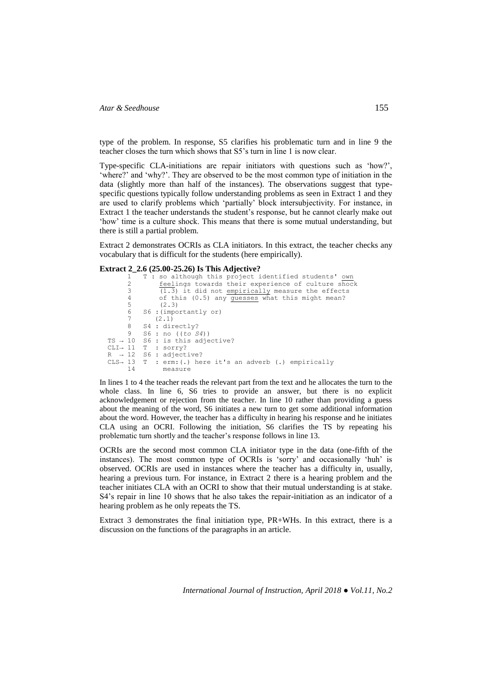type of the problem. In response, S5 clarifies his problematic turn and in line 9 the teacher closes the turn which shows that S5's turn in line 1 is now clear.

Type-specific CLA-initiations are repair initiators with questions such as 'how?', 'where?' and 'why?'. They are observed to be the most common type of initiation in the data (slightly more than half of the instances). The observations suggest that typespecific questions typically follow understanding problems as seen in Extract 1 and they are used to clarify problems which 'partially' block intersubjectivity. For instance, in Extract 1 the teacher understands the student's response, but he cannot clearly make out 'how' time is a culture shock. This means that there is some mutual understanding, but there is still a partial problem.

Extract 2 demonstrates OCRIs as CLA initiators. In this extract, the teacher checks any vocabulary that is difficult for the students (here empirically).

## **Extract 2\_2.6 (25.00-25.26) Is This Adjective?**

|    | T : so although this project identified students' own                 |
|----|-----------------------------------------------------------------------|
| 2  | feelings towards their experience of culture shock                    |
| 3  | $(1.3)$ it did not empirically measure the effects                    |
| 4  | of this (0.5) any quesses what this might mean?                       |
| 5  | (2.3)                                                                 |
| 6  | $S6$ : (importantly or)                                               |
| 7  | (2.1)                                                                 |
| 8  | S4 : directly?                                                        |
| 9  | S6: no (to S4)                                                        |
|    | TS $\rightarrow$ 10 S6 : is this adjective?                           |
|    | CLI $\rightarrow$ 11 T : sorry?                                       |
|    | $R \rightarrow 12$ S6 : adjective?                                    |
|    | CLS $\rightarrow$ 13 T : erm: (.) here it's an adverb (.) empirically |
| 14 | measure                                                               |

In lines 1 to 4 the teacher reads the relevant part from the text and he allocates the turn to the whole class. In line 6, S6 tries to provide an answer, but there is no explicit acknowledgement or rejection from the teacher. In line 10 rather than providing a guess about the meaning of the word, S6 initiates a new turn to get some additional information about the word. However, the teacher has a difficulty in hearing his response and he initiates CLA using an OCRI. Following the initiation, S6 clarifies the TS by repeating his problematic turn shortly and the teacher's response follows in line 13.

OCRIs are the second most common CLA initiator type in the data (one-fifth of the instances). The most common type of OCRIs is 'sorry' and occasionally 'huh' is observed. OCRIs are used in instances where the teacher has a difficulty in, usually, hearing a previous turn. For instance, in Extract 2 there is a hearing problem and the teacher initiates CLA with an OCRI to show that their mutual understanding is at stake. S4's repair in line 10 shows that he also takes the repair-initiation as an indicator of a hearing problem as he only repeats the TS.

Extract 3 demonstrates the final initiation type, PR+WHs. In this extract, there is a discussion on the functions of the paragraphs in an article.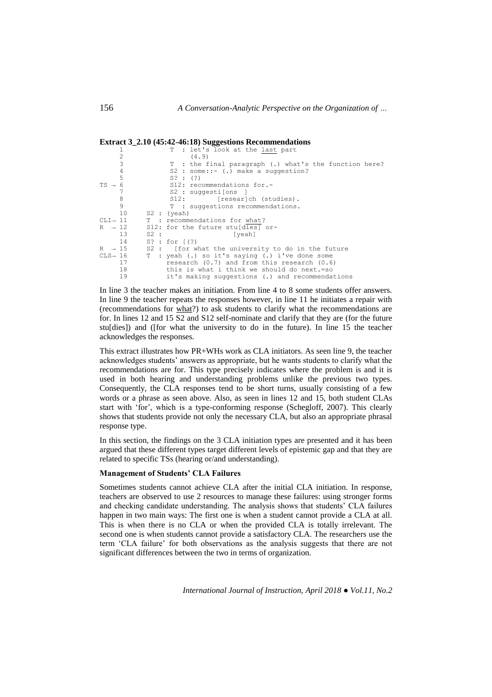```
Extract 3_2.10 (45:42-46:18) Suggestions Recommendations
```

|                      |                    |     | T: let's look at the last part                       |
|----------------------|--------------------|-----|------------------------------------------------------|
|                      | $\mathfrak{D}$     |     | (4.9)                                                |
|                      | 3                  |     | T: the final paragraph (.) what's the function here? |
|                      | 4                  |     | $S2$ : some::- (.) make a suggestion?                |
|                      | 5                  |     | $S?$ : (?)                                           |
| $TS \rightarrow 6$   |                    |     | S12: recommendations for.-                           |
|                      |                    |     | S2 : suggesti[ons ]                                  |
|                      | 8                  |     | S12: [resear]ch (studies).                           |
|                      | 9                  |     | T : suggestions recommendations.                     |
|                      | 10                 |     | $S2:$ (yeah)                                         |
| $CLI \rightarrow 11$ |                    |     | T : recommendations for what?                        |
|                      | $R \rightarrow 12$ |     | S12: for the future stuldies] or-                    |
|                      | 13                 | S2: | [yeah]                                               |
|                      | 14                 |     | $S?$ : for $(?)$                                     |
|                      | $R \rightarrow 15$ |     | S2 : [for what the university to do in the future    |
| $CLS \rightarrow 16$ |                    |     | T: yeah (.) so it's saying (.) i've done some        |
|                      | 17                 |     | research $(0.7)$ and from this research $(0.6)$      |
|                      | 18                 |     | this is what i think we should do next.=so           |
|                      | 19                 |     | it's making suggestions (.) and recommendations      |

In line 3 the teacher makes an initiation. From line 4 to 8 some students offer answers. In line 9 the teacher repeats the responses however, in line 11 he initiates a repair with (recommendations for what?) to ask students to clarify what the recommendations are for. In lines 12 and 15 S2 and S12 self-nominate and clarify that they are (for the future stu[dies]) and ([for what the university to do in the future). In line 15 the teacher acknowledges the responses.

This extract illustrates how PR+WHs work as CLA initiators. As seen line 9, the teacher acknowledges students' answers as appropriate, but he wants students to clarify what the recommendations are for. This type precisely indicates where the problem is and it is used in both hearing and understanding problems unlike the previous two types. Consequently, the CLA responses tend to be short turns, usually consisting of a few words or a phrase as seen above. Also, as seen in lines 12 and 15, both student CLAs start with 'for', which is a type-conforming response (Schegloff, 2007). This clearly shows that students provide not only the necessary CLA, but also an appropriate phrasal response type.

In this section, the findings on the 3 CLA initiation types are presented and it has been argued that these different types target different levels of epistemic gap and that they are related to specific TSs (hearing or/and understanding).

#### **Management of Students' CLA Failures**

Sometimes students cannot achieve CLA after the initial CLA initiation. In response, teachers are observed to use 2 resources to manage these failures: using stronger forms and checking candidate understanding. The analysis shows that students' CLA failures happen in two main ways: The first one is when a student cannot provide a CLA at all. This is when there is no CLA or when the provided CLA is totally irrelevant. The second one is when students cannot provide a satisfactory CLA. The researchers use the term 'CLA failure' for both observations as the analysis suggests that there are not significant differences between the two in terms of organization.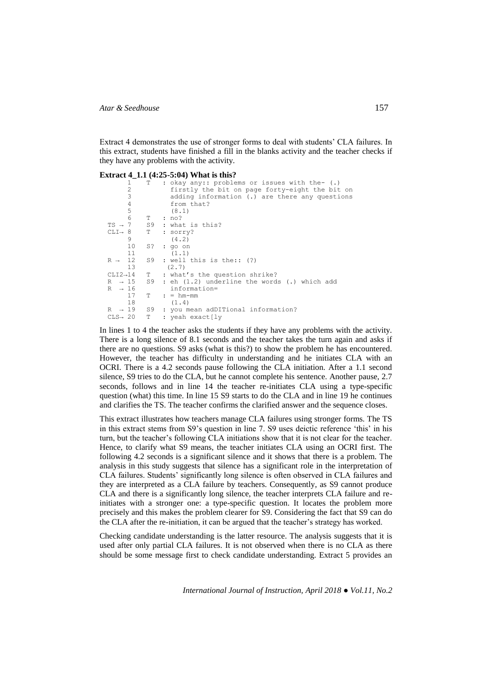Extract 4 demonstrates the use of stronger forms to deal with students' CLA failures. In this extract, students have finished a fill in the blanks activity and the teacher checks if they have any problems with the activity.

| 1                    | Т | : okay any:: problems or issues with the- (.)                      |
|----------------------|---|--------------------------------------------------------------------|
| $\overline{c}$       |   | firstly the bit on page forty-eight the bit on                     |
| 3                    |   | adding information (.) are there any questions                     |
| $\overline{4}$       |   | from that?                                                         |
| 5                    |   | (8.1)                                                              |
| 6                    |   | T : no?                                                            |
|                      |   | TS $\rightarrow$ 7 S9 : what is this?                              |
|                      |   | $CLI \rightarrow 8$ T : sorry?                                     |
| 9                    |   | (4, 2)                                                             |
| 10                   |   | $S?$ : $qo$ on                                                     |
| 11                   |   | (1.1)                                                              |
|                      |   | $R \rightarrow 12$ S9 : well this is the:: (?)                     |
| 13                   |   | (2, 7)                                                             |
|                      |   | $CLI2\rightarrow14$ T : what's the question shrike?                |
|                      |   | $R \rightarrow 15$ S9 : eh (1.2) underline the words (.) which add |
| $R \rightarrow 16$   |   | information=                                                       |
| 17                   | Т | $: = \text{hm-mm}$                                                 |
| 18                   |   | (1.4)                                                              |
|                      |   | $R \rightarrow 19$ S9 : you mean adDITional information?           |
| $CLS \rightarrow 20$ | Т | : yeah exact[ly                                                    |

In lines 1 to 4 the teacher asks the students if they have any problems with the activity. There is a long silence of 8.1 seconds and the teacher takes the turn again and asks if there are no questions. S9 asks (what is this?) to show the problem he has encountered. However, the teacher has difficulty in understanding and he initiates CLA with an OCRI. There is a 4.2 seconds pause following the CLA initiation. After a 1.1 second silence, S9 tries to do the CLA, but he cannot complete his sentence. Another pause, 2.7 seconds, follows and in line 14 the teacher re-initiates CLA using a type-specific question (what) this time. In line 15 S9 starts to do the CLA and in line 19 he continues and clarifies the TS. The teacher confirms the clarified answer and the sequence closes.

This extract illustrates how teachers manage CLA failures using stronger forms. The TS in this extract stems from S9's question in line 7. S9 uses deictic reference 'this' in his turn, but the teacher's following CLA initiations show that it is not clear for the teacher. Hence, to clarify what S9 means, the teacher initiates CLA using an OCRI first. The following 4.2 seconds is a significant silence and it shows that there is a problem. The analysis in this study suggests that silence has a significant role in the interpretation of CLA failures. Students' significantly long silence is often observed in CLA failures and they are interpreted as a CLA failure by teachers. Consequently, as S9 cannot produce CLA and there is a significantly long silence, the teacher interprets CLA failure and reinitiates with a stronger one: a type-specific question. It locates the problem more precisely and this makes the problem clearer for S9. Considering the fact that S9 can do the CLA after the re-initiation, it can be argued that the teacher's strategy has worked.

Checking candidate understanding is the latter resource. The analysis suggests that it is used after only partial CLA failures. It is not observed when there is no CLA as there should be some message first to check candidate understanding. Extract 5 provides an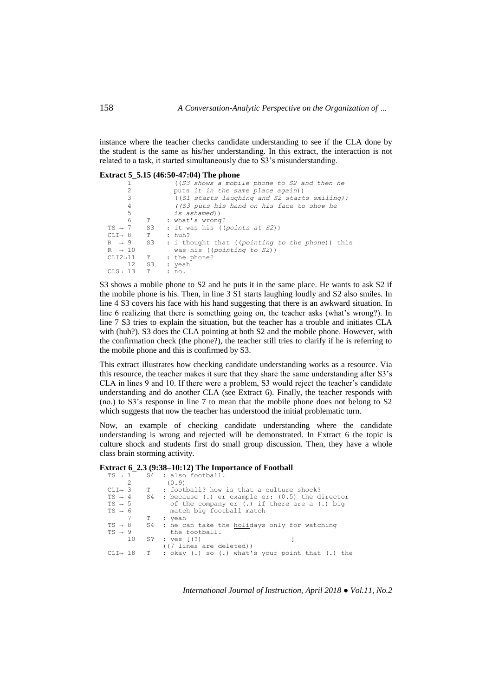158 *A Conversation-Analytic Perspective on the Organization of …*

instance where the teacher checks candidate understanding to see if the CLA done by the student is the same as his/her understanding. In this extract, the interaction is not related to a task, it started simultaneously due to S3's misunderstanding.

#### **Extract 5\_5.15 (46:50-47:04) The phone**

|                         |    | ((S3 shows a mobile phone to S2 and then he     |
|-------------------------|----|-------------------------------------------------|
| 2                       |    | puts it in the same place again))               |
| 3                       |    | ((S1 starts laughing and S2 starts smiling))    |
| 4                       |    | ((S3 puts his hand on his face to show he       |
| 5                       |    | <i>is ashamed</i> ))                            |
| 6                       | Т  | : what's wrong?                                 |
| $TS \rightarrow 7$      | S3 | : it was his ((points at S2))                   |
| $CLI \rightarrow 8$     | T  | $:$ huh?                                        |
| $R \rightarrow 9$       | S3 | : i thought that ((pointing to the phone)) this |
| $R \rightarrow 10$      |    | was his ((pointing to $S2$ ))                   |
| $CI1I2$ $-11$           | T  | : the phone?                                    |
| 12.                     | S3 | : yeah                                          |
| $CI.S. \rightarrow 1.3$ | T  | : no.                                           |

S3 shows a mobile phone to S2 and he puts it in the same place. He wants to ask S2 if the mobile phone is his. Then, in line 3 S1 starts laughing loudly and S2 also smiles. In line 4 S3 covers his face with his hand suggesting that there is an awkward situation. In line 6 realizing that there is something going on, the teacher asks (what's wrong?). In line 7 S3 tries to explain the situation, but the teacher has a trouble and initiates CLA with (huh?). S3 does the CLA pointing at both S2 and the mobile phone. However, with the confirmation check (the phone?), the teacher still tries to clarify if he is referring to the mobile phone and this is confirmed by S3.

This extract illustrates how checking candidate understanding works as a resource. Via this resource, the teacher makes it sure that they share the same understanding after S3's CLA in lines 9 and 10. If there were a problem, S3 would reject the teacher's candidate understanding and do another CLA (see Extract 6). Finally, the teacher responds with (no.) to S3's response in line 7 to mean that the mobile phone does not belong to S2 which suggests that now the teacher has understood the initial problematic turn.

Now, an example of checking candidate understanding where the candidate understanding is wrong and rejected will be demonstrated. In Extract 6 the topic is culture shock and students first do small group discussion. Then, they have a whole class brain storming activity.

# **Extract 6\_2.3 (9:38–10:12) The Importance of Football**

| $TS \rightarrow 1$    |   | S4 : also football.                                    |
|-----------------------|---|--------------------------------------------------------|
| $\mathcal{P}$         |   | (0.9)                                                  |
| $CLI \rightarrow 3$   | T | : football? how is that a culture shock?               |
| $TS \rightarrow 4$    |   | S4 : because (.) er example er: (0.5) the director     |
| $TS \rightarrow 5$    |   | of the company er $(.)$ if there are a $(.)$ big       |
| $TS \rightarrow 6$    |   | match big football match                               |
| 7                     |   | T : yeah                                               |
| $TS \rightarrow 8$    |   | S4 : he can take the holidays only for watching        |
| $TS \rightarrow 9$    |   | the football.                                          |
| 10                    |   | S? : yes [(?)                                          |
|                       |   | ((7 lines are deleted))                                |
| $CI.I \rightarrow 18$ | T | : okay $(.)$ so $(.)$ what's your point that $(.)$ the |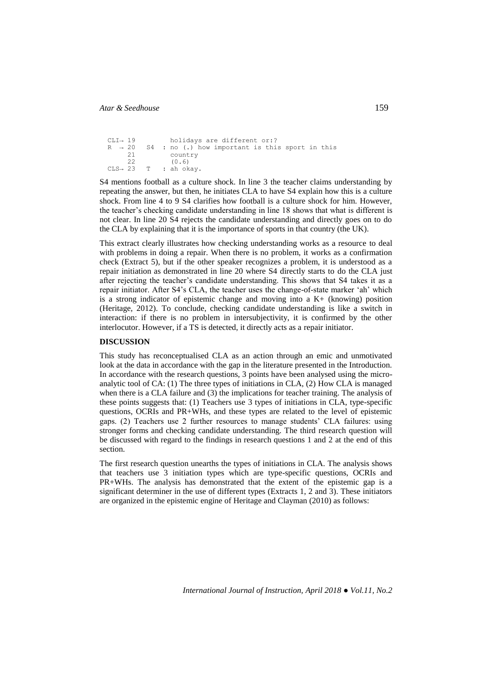```
 CLI→ 19 holidays are different or:?
R \rightarrow 20 S4 : no (.) how important is this sport in this
 R \rightarrow 20 S4 : no (.)<br>21 country<br>22 (0.6)
 CLS \rightarrow 23 T : ah ok
                   : ah okay.
```
S4 mentions football as a culture shock. In line 3 the teacher claims understanding by repeating the answer, but then, he initiates CLA to have S4 explain how this is a culture shock. From line 4 to 9 S4 clarifies how football is a culture shock for him. However, the teacher's checking candidate understanding in line 18 shows that what is different is not clear. In line 20 S4 rejects the candidate understanding and directly goes on to do the CLA by explaining that it is the importance of sports in that country (the UK).

This extract clearly illustrates how checking understanding works as a resource to deal with problems in doing a repair. When there is no problem, it works as a confirmation check (Extract 5), but if the other speaker recognizes a problem, it is understood as a repair initiation as demonstrated in line 20 where S4 directly starts to do the CLA just after rejecting the teacher's candidate understanding. This shows that S4 takes it as a repair initiator. After S4's CLA, the teacher uses the change-of-state marker 'ah' which is a strong indicator of epistemic change and moving into a K+ (knowing) position (Heritage, 2012). To conclude, checking candidate understanding is like a switch in interaction: if there is no problem in intersubjectivity, it is confirmed by the other interlocutor. However, if a TS is detected, it directly acts as a repair initiator.

## **DISCUSSION**

This study has reconceptualised CLA as an action through an emic and unmotivated look at the data in accordance with the gap in the literature presented in the Introduction. In accordance with the research questions, 3 points have been analysed using the microanalytic tool of CA: (1) The three types of initiations in CLA, (2) How CLA is managed when there is a CLA failure and (3) the implications for teacher training. The analysis of these points suggests that: (1) Teachers use 3 types of initiations in CLA, type-specific questions, OCRIs and PR+WHs, and these types are related to the level of epistemic gaps. (2) Teachers use 2 further resources to manage students' CLA failures: using stronger forms and checking candidate understanding. The third research question will be discussed with regard to the findings in research questions 1 and 2 at the end of this section.

The first research question unearths the types of initiations in CLA. The analysis shows that teachers use 3 initiation types which are type-specific questions, OCRIs and PR+WHs. The analysis has demonstrated that the extent of the epistemic gap is a significant determiner in the use of different types (Extracts 1, 2 and 3). These initiators are organized in the epistemic engine of Heritage and Clayman (2010) as follows: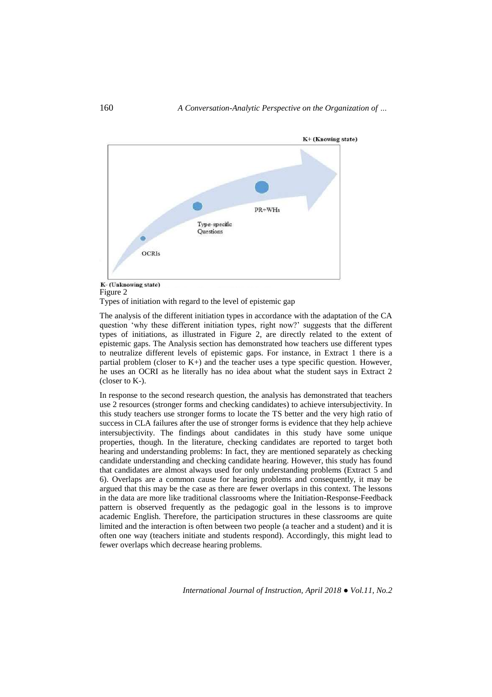

K- (Unknowing state) Figure 2 Types of initiation with regard to the level of epistemic gap

The analysis of the different initiation types in accordance with the adaptation of the CA question 'why these different initiation types, right now?' suggests that the different types of initiations, as illustrated in Figure 2, are directly related to the extent of epistemic gaps. The Analysis section has demonstrated how teachers use different types to neutralize different levels of epistemic gaps. For instance, in Extract 1 there is a partial problem (closer to  $K<sub>+</sub>$ ) and the teacher uses a type specific question. However, he uses an OCRI as he literally has no idea about what the student says in Extract 2 (closer to K-).

In response to the second research question, the analysis has demonstrated that teachers use 2 resources (stronger forms and checking candidates) to achieve intersubjectivity. In this study teachers use stronger forms to locate the TS better and the very high ratio of success in CLA failures after the use of stronger forms is evidence that they help achieve intersubjectivity. The findings about candidates in this study have some unique properties, though. In the literature, checking candidates are reported to target both hearing and understanding problems: In fact, they are mentioned separately as checking candidate understanding and checking candidate hearing. However, this study has found that candidates are almost always used for only understanding problems (Extract 5 and 6). Overlaps are a common cause for hearing problems and consequently, it may be argued that this may be the case as there are fewer overlaps in this context. The lessons in the data are more like traditional classrooms where the Initiation-Response-Feedback pattern is observed frequently as the pedagogic goal in the lessons is to improve academic English. Therefore, the participation structures in these classrooms are quite limited and the interaction is often between two people (a teacher and a student) and it is often one way (teachers initiate and students respond). Accordingly, this might lead to fewer overlaps which decrease hearing problems.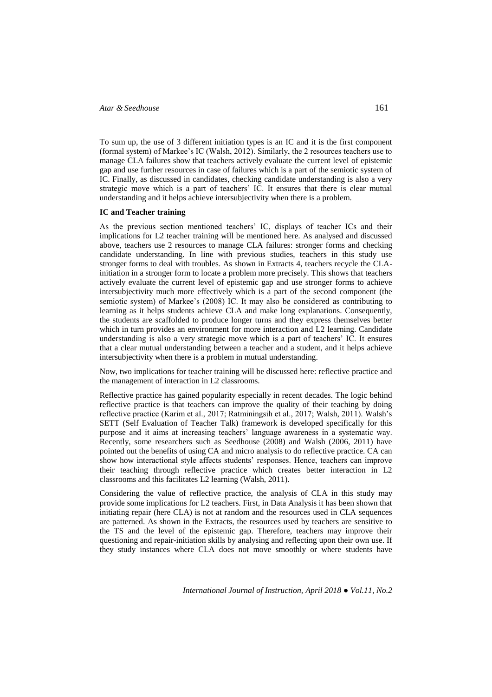To sum up, the use of 3 different initiation types is an IC and it is the first component (formal system) of Markee's IC (Walsh, 2012). Similarly, the 2 resources teachers use to manage CLA failures show that teachers actively evaluate the current level of epistemic gap and use further resources in case of failures which is a part of the semiotic system of IC. Finally, as discussed in candidates, checking candidate understanding is also a very strategic move which is a part of teachers' IC. It ensures that there is clear mutual understanding and it helps achieve intersubjectivity when there is a problem.

### **IC and Teacher training**

As the previous section mentioned teachers' IC, displays of teacher ICs and their implications for L2 teacher training will be mentioned here. As analysed and discussed above, teachers use 2 resources to manage CLA failures: stronger forms and checking candidate understanding. In line with previous studies, teachers in this study use stronger forms to deal with troubles. As shown in Extracts 4, teachers recycle the CLAinitiation in a stronger form to locate a problem more precisely. This shows that teachers actively evaluate the current level of epistemic gap and use stronger forms to achieve intersubjectivity much more effectively which is a part of the second component (the semiotic system) of Markee's (2008) IC. It may also be considered as contributing to learning as it helps students achieve CLA and make long explanations. Consequently, the students are scaffolded to produce longer turns and they express themselves better which in turn provides an environment for more interaction and L2 learning. Candidate understanding is also a very strategic move which is a part of teachers' IC. It ensures that a clear mutual understanding between a teacher and a student, and it helps achieve intersubjectivity when there is a problem in mutual understanding.

Now, two implications for teacher training will be discussed here: reflective practice and the management of interaction in L2 classrooms.

Reflective practice has gained popularity especially in recent decades. The logic behind reflective practice is that teachers can improve the quality of their teaching by doing reflective practice (Karim et al., 2017; Ratminingsih et al., 2017; Walsh, 2011). Walsh's SETT (Self Evaluation of Teacher Talk) framework is developed specifically for this purpose and it aims at increasing teachers' language awareness in a systematic way. Recently, some researchers such as Seedhouse (2008) and Walsh (2006, 2011) have pointed out the benefits of using CA and micro analysis to do reflective practice. CA can show how interactional style affects students' responses. Hence, teachers can improve their teaching through reflective practice which creates better interaction in L2 classrooms and this facilitates L2 learning (Walsh, 2011).

Considering the value of reflective practice, the analysis of CLA in this study may provide some implications for L2 teachers. First, in Data Analysis it has been shown that initiating repair (here CLA) is not at random and the resources used in CLA sequences are patterned. As shown in the Extracts, the resources used by teachers are sensitive to the TS and the level of the epistemic gap. Therefore, teachers may improve their questioning and repair-initiation skills by analysing and reflecting upon their own use. If they study instances where CLA does not move smoothly or where students have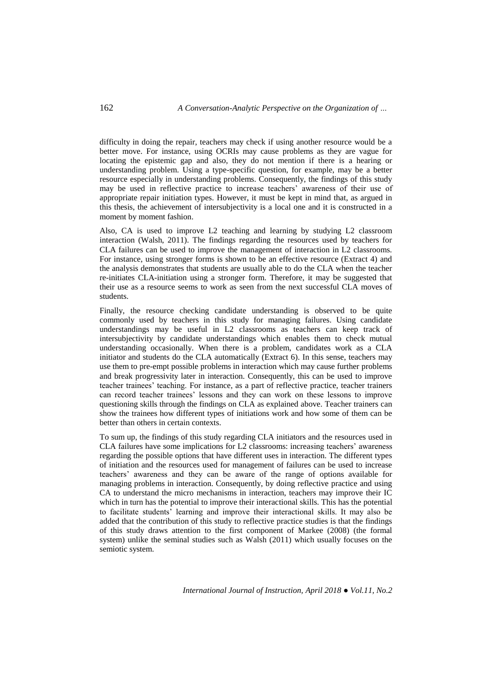difficulty in doing the repair, teachers may check if using another resource would be a better move. For instance, using OCRIs may cause problems as they are vague for locating the epistemic gap and also, they do not mention if there is a hearing or understanding problem. Using a type-specific question, for example, may be a better resource especially in understanding problems. Consequently, the findings of this study may be used in reflective practice to increase teachers' awareness of their use of appropriate repair initiation types. However, it must be kept in mind that, as argued in this thesis, the achievement of intersubjectivity is a local one and it is constructed in a moment by moment fashion.

Also, CA is used to improve L2 teaching and learning by studying L2 classroom interaction (Walsh, 2011). The findings regarding the resources used by teachers for CLA failures can be used to improve the management of interaction in L2 classrooms. For instance, using stronger forms is shown to be an effective resource (Extract 4) and the analysis demonstrates that students are usually able to do the CLA when the teacher re-initiates CLA-initiation using a stronger form. Therefore, it may be suggested that their use as a resource seems to work as seen from the next successful CLA moves of students.

Finally, the resource checking candidate understanding is observed to be quite commonly used by teachers in this study for managing failures. Using candidate understandings may be useful in L2 classrooms as teachers can keep track of intersubjectivity by candidate understandings which enables them to check mutual understanding occasionally. When there is a problem, candidates work as a CLA initiator and students do the CLA automatically (Extract 6). In this sense, teachers may use them to pre-empt possible problems in interaction which may cause further problems and break progressivity later in interaction. Consequently, this can be used to improve teacher trainees' teaching. For instance, as a part of reflective practice, teacher trainers can record teacher trainees' lessons and they can work on these lessons to improve questioning skills through the findings on CLA as explained above. Teacher trainers can show the trainees how different types of initiations work and how some of them can be better than others in certain contexts.

To sum up, the findings of this study regarding CLA initiators and the resources used in CLA failures have some implications for L2 classrooms: increasing teachers' awareness regarding the possible options that have different uses in interaction. The different types of initiation and the resources used for management of failures can be used to increase teachers' awareness and they can be aware of the range of options available for managing problems in interaction. Consequently, by doing reflective practice and using CA to understand the micro mechanisms in interaction, teachers may improve their IC which in turn has the potential to improve their interactional skills. This has the potential to facilitate students' learning and improve their interactional skills. It may also be added that the contribution of this study to reflective practice studies is that the findings of this study draws attention to the first component of Markee (2008) (the formal system) unlike the seminal studies such as Walsh (2011) which usually focuses on the semiotic system.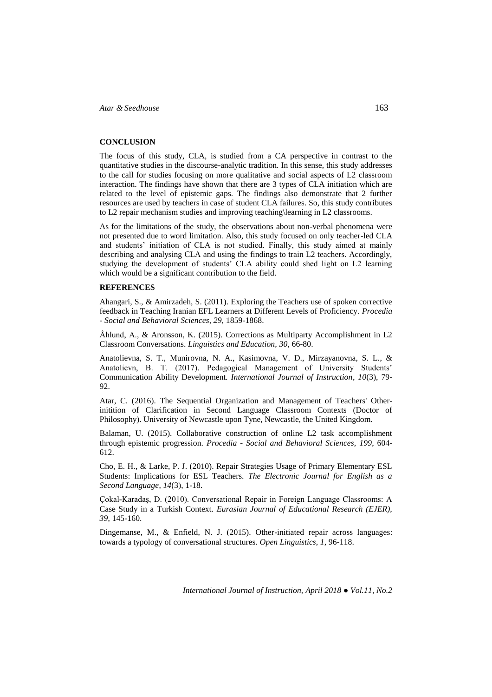## **CONCLUSION**

The focus of this study, CLA, is studied from a CA perspective in contrast to the quantitative studies in the discourse-analytic tradition. In this sense, this study addresses to the call for studies focusing on more qualitative and social aspects of L2 classroom interaction. The findings have shown that there are 3 types of CLA initiation which are related to the level of epistemic gaps. The findings also demonstrate that 2 further resources are used by teachers in case of student CLA failures. So, this study contributes to L2 repair mechanism studies and improving teaching\learning in L2 classrooms.

As for the limitations of the study, the observations about non-verbal phenomena were not presented due to word limitation. Also, this study focused on only teacher-led CLA and students' initiation of CLA is not studied. Finally, this study aimed at mainly describing and analysing CLA and using the findings to train L2 teachers. Accordingly, studying the development of students' CLA ability could shed light on L2 learning which would be a significant contribution to the field.

#### **REFERENCES**

Ahangari, S., & Amirzadeh, S. (2011). Exploring the Teachers use of spoken corrective feedback in Teaching Iranian EFL Learners at Different Levels of Proficiency. *Procedia - Social and Behavioral Sciences*, *29*, 1859-1868.

Åhlund, A., & Aronsson, K. (2015). Corrections as Multiparty Accomplishment in L2 Classroom Conversations. *Linguistics and Education, 30*, 66-80.

Anatolievna, S. T., Munirovna, N. A., Kasimovna, V. D., Mirzayanovna, S. L., & Anatolievn, B. T. (2017). Pedagogical Management of University Students' Communication Ability Development*. International Journal of Instruction*, *10*(3), 79- 92.

Atar, C. (2016). The Sequential Organization and Management of Teachers' Otherinitition of Clarification in Second Language Classroom Contexts (Doctor of Philosophy). University of Newcastle upon Tyne, Newcastle, the United Kingdom.

Balaman, U. (2015). Collaborative construction of online L2 task accomplishment through epistemic progression. *Procedia - Social and Behavioral Sciences, 199*, 604- 612.

Cho, E. H., & Larke, P. J. (2010). Repair Strategies Usage of Primary Elementary ESL Students: Implications for ESL Teachers. *The Electronic Journal for English as a Second Language*, *14*(3), 1-18.

Çokal-Karadaş, D. (2010). Conversational Repair in Foreign Language Classrooms: A Case Study in a Turkish Context. *Eurasian Journal of Educational Research (EJER), 39*, 145-160.

Dingemanse, M., & Enfield, N. J. (2015). Other-initiated repair across languages: towards a typology of conversational structures. *Open Linguistics*, *1*, 96-118.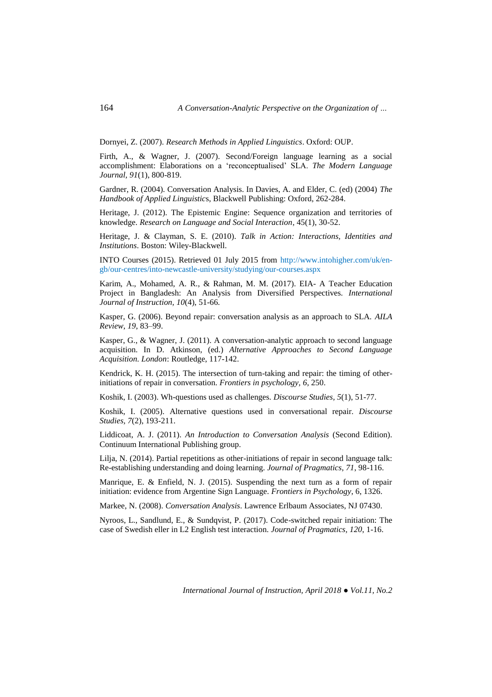Dornyei, Z. (2007). *Research Methods in Applied Linguistics*. Oxford: OUP.

Firth, A., & Wagner, J. (2007). Second/Foreign language learning as a social accomplishment: Elaborations on a 'reconceptualised' SLA. *The Modern Language Journal, 91*(1), 800-819.

Gardner, R. (2004). Conversation Analysis. In Davies, A. and Elder, C. (ed) (2004) *The Handbook of Applied Linguistic*s, Blackwell Publishing: Oxford, 262-284.

Heritage, J. (2012). The Epistemic Engine: Sequence organization and territories of knowledge. *Research on Language and Social Interaction*, 45(1), 30-52.

Heritage, J. & Clayman, S. E. (2010). *Talk in Action: Interactions, Identities and Institutions*. Boston: Wiley-Blackwell.

INTO Courses (2015). Retrieved 01 July 2015 from [http://www.intohigher.com/u](http://www.intohigher.com/)k/engb/our-centres/into-newcastle-university/studying/our-courses.aspx

Karim, A., Mohamed, A. R., & Rahman, M. M. (2017). EIA- A Teacher Education Project in Bangladesh: An Analysis from Diversified Perspectives. *International Journal of Instruction, 10*(4), 51-66*.*

Kasper, G. (2006). Beyond repair: conversation analysis as an approach to SLA. *AILA Review*, *19*, 83–99.

Kasper, G., & Wagner, J. (2011). A conversation-analytic approach to second language acquisition. In D. Atkinson, (ed.) *Alternative Approaches to Second Language Acquisition. London*: Routledge, 117-142.

Kendrick, K. H. (2015). The intersection of turn-taking and repair: the timing of otherinitiations of repair in conversation. *Frontiers in psychology, 6*, 250.

Koshik, I. (2003). Wh-questions used as challenges. *Discourse Studies, 5*(1), 51-77.

Koshik, I. (2005). Alternative questions used in conversational repair. *Discourse Studies, 7*(2), 193-211.

Liddicoat, A. J. (2011). *An Introduction to Conversation Analysis* (Second Edition). Continuum International Publishing group.

Lilja, N. (2014). Partial repetitions as other-initiations of repair in second language talk: Re-establishing understanding and doing learning. *Journal of Pragmatics*, *71*, 98-116.

Manrique, E. & Enfield, N. J. (2015). Suspending the next turn as a form of repair initiation: evidence from Argentine Sign Language. *Frontiers in Psychology*, 6, 1326.

Markee, N. (2008). *Conversation Analysis*. Lawrence Erlbaum Associates, NJ 07430.

Nyroos, L., Sandlund, E., & Sundqvist, P. (2017). Code-switched repair initiation: The case of Swedish eller in L2 English test interaction. *Journal of Pragmatics, 120*, 1-16.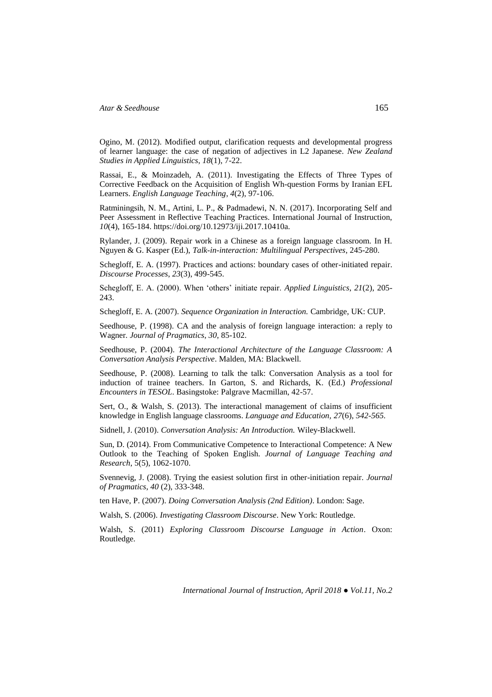Ogino, M. (2012). Modified output, clarification requests and developmental progress of learner language: the case of negation of adjectives in L2 Japanese. *New Zealand Studies in Applied Linguistics*, *18*(1), 7-22.

Rassai, E., & Moinzadeh, A. (2011). Investigating the Effects of Three Types of Corrective Feedback on the Acquisition of English Wh-question Forms by Iranian EFL Learners. *English Language Teaching*, *4*(2), 97-106.

Ratminingsih, N. M., Artini, L. P., & Padmadewi, N. N. (2017). Incorporating Self and Peer Assessment in Reflective Teaching Practices. International Journal of Instruction, *10*(4), 165-184. https://doi.org/10.12973/iji.2017.10410a.

Rylander, J. (2009). Repair work in a Chinese as a foreign language classroom. In H. Nguyen & G. Kasper (Ed.), *Talk-in-interaction: Multilingual Perspectives*, 245-280.

Schegloff, E. A. (1997). Practices and actions: boundary cases of other-initiated repair. *Discourse Processes*, *23*(3), 499-545.

Schegloff, E. A. (2000). When 'others' initiate repair. *Applied Linguistics*, *21*(2), 205- 243.

Schegloff, E. A. (2007). *Sequence Organization in Interaction.* Cambridge, UK: CUP.

Seedhouse, P. (1998). CA and the analysis of foreign language interaction: a reply to Wagner*. Journal of Pragmatics*, *30*, 85-102.

Seedhouse, P. (2004). *The Interactional Architecture of the Language Classroom: A Conversation Analysis Perspective*. Malden, MA: Blackwell.

Seedhouse, P. (2008). Learning to talk the talk: Conversation Analysis as a tool for induction of trainee teachers. In Garton, S. and Richards, K. (Ed.) *Professional Encounters in TESOL*. Basingstoke: Palgrave Macmillan, 42-57.

Sert, O., & Walsh, S. (2013). The interactional management of claims of insufficient knowledge in English language classrooms. *Language and Education, 27*(6), *542-565.*

Sidnell, J. (2010). *Conversation Analysis: An Introduction.* Wiley-Blackwell.

Sun, D. (2014). From Communicative Competence to Interactional Competence: A New Outlook to the Teaching of Spoken English. *Journal of Language Teaching and Research*, 5(5), 1062-1070.

Svennevig, J. (2008). Trying the easiest solution first in other-initiation repair. *Journal of Pragmatics*, *40* (2), 333-348.

ten Have, P. (2007). *Doing Conversation Analysis (2nd Edition)*. London: Sage.

Walsh, S. (2006). *Investigating Classroom Discourse*. New York: Routledge.

Walsh, S. (2011) *Exploring Classroom Discourse Language in Action*. Oxon: Routledge.